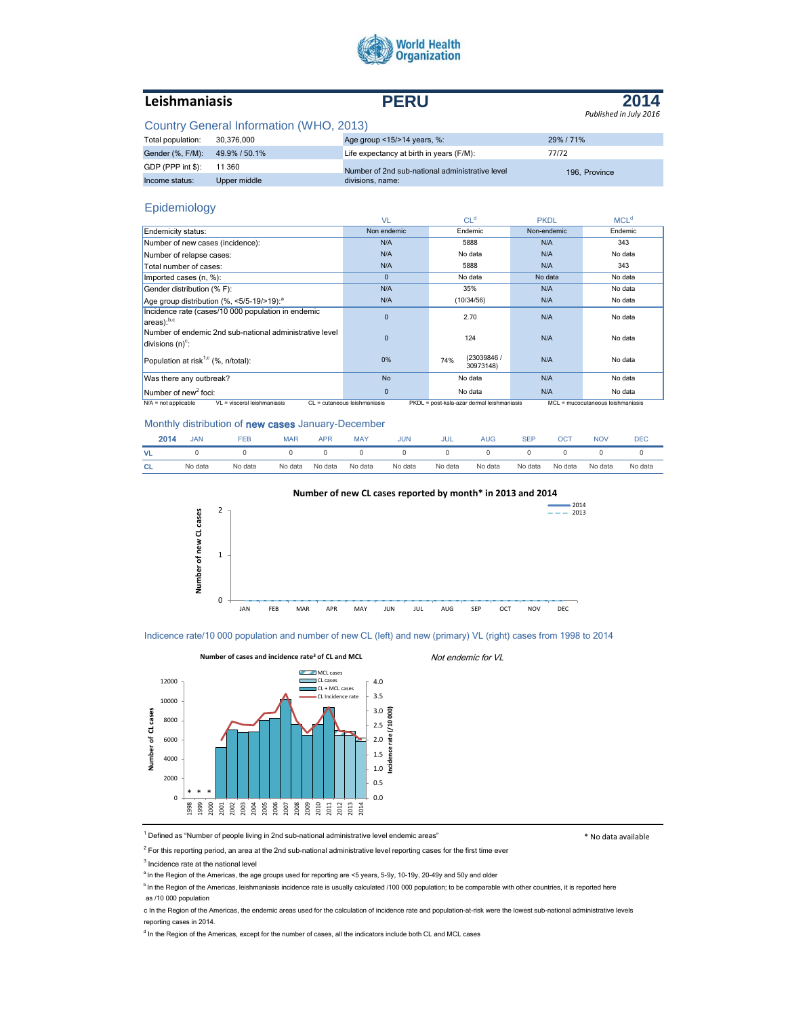

# **Leishmaniasis PERU**

#### **2014** *Published in July 2016*

## Country General Information (WHO, 2013)

| Total population:              | 30.376.000   | Age group <15/>>14 years, %:                    | 29%/71%       |  |
|--------------------------------|--------------|-------------------------------------------------|---------------|--|
| Gender (%, F/M): 49.9% / 50.1% |              | Life expectancy at birth in years (F/M):        | 77/72         |  |
| GDP (PPP int \$):              | 11 360       | Number of 2nd sub-national administrative level | 196. Province |  |
| Income status:                 | Upper middle | divisions, name:                                |               |  |

## Epidemiology

|                                                                                | <b>VL</b>                    | CL <sup>d</sup>                                                                 | <b>PKDL</b> | MCL <sup>d</sup> |
|--------------------------------------------------------------------------------|------------------------------|---------------------------------------------------------------------------------|-------------|------------------|
| Endemicity status:                                                             | Non endemic                  | Endemic                                                                         | Non-endemic | Endemic          |
| Number of new cases (incidence):                                               | N/A                          | 5888                                                                            | N/A         | 343              |
| Number of relapse cases:                                                       | N/A                          | No data                                                                         | N/A         | No data          |
| Total number of cases:                                                         | N/A                          | 5888                                                                            | N/A         | 343              |
| Imported cases (n, %):                                                         | $\mathbf{0}$                 | No data                                                                         | No data     | No data          |
| Gender distribution (% F):                                                     | N/A                          | 35%                                                                             | N/A         | No data          |
| Age group distribution (%, <5/5-19/>19): <sup>a</sup>                          | N/A                          | (10/34/56)                                                                      | N/A         | No data          |
| Incidence rate (cases/10 000 population in endemic<br>$ area$ ): $b,c$         | $\overline{0}$               | 2.70                                                                            | N/A         | No data          |
| Number of endemic 2nd sub-national administrative level<br>divisions $(n)^c$ : | $\Omega$                     | 124                                                                             | N/A         | No data          |
| Population at risk <sup>1,c</sup> (%, n/total):                                | 0%                           | (23039846 /<br>74%<br>30973148)                                                 | N/A         | No data          |
| Was there any outbreak?                                                        | No                           | No data                                                                         | N/A         | No data          |
| $N$ umber of new <sup>2</sup> foci:                                            | $\mathbf{0}$                 | No data                                                                         | N/A         | No data          |
| VL = visceral leishmaniasis<br>$N/A$ = not applicable                          | CL = cutaneous leishmaniasis | PKDL = post-kala-azar dermal leishmaniasis<br>MCL = mucocutaneous leishmaniasis |             |                  |

#### Monthly distribution of new cases January-December

| 2014      | <b>JAN</b> | FFB     | MAR     | APF     | <b>MAY</b> | <b>JUN</b> | <b>JUL</b> | <b>AUG</b> | <b>SEP</b> | OC.     | <b>NOV</b> | DEC     |
|-----------|------------|---------|---------|---------|------------|------------|------------|------------|------------|---------|------------|---------|
| <b>VL</b> |            |         |         |         |            |            |            |            |            |         |            |         |
| <b>CL</b> | No data    | No data | No data | No data | No data    | No data    | No data    | No data    | No data    | No data | No data    | No data |



#### Indicence rate/10 000 population and number of new CL (left) and new (primary) VL (right) cases from 1998 to 2014



Not endemic for VL

<sup>1</sup> Defined as "Number of people living in 2nd sub-national administrative level endemic areas" \* No data available

 $^2$  For this reporting period, an area at the 2nd sub-national administrative level reporting cases for the first time ever

<sup>3</sup> Incidence rate at the national level

<sup>a</sup> In the Region of the Americas, the age groups used for reporting are <5 years, 5-9y, 10-19y, 20-49y and 50y and older

<sup>b</sup> In the Region of the Americas, leishmaniasis incidence rate is usually calculated /100 000 population; to be comparable with other countries, it is reported here as /10 000 population

c In the Region of the Americas, the endemic areas used for the calculation of incidence rate and population-at-risk were the lowest sub-national administrative levels reporting cases in 2014.

<sup>d</sup> In the Region of the Americas, except for the number of cases, all the indicators include both CL and MCL cases